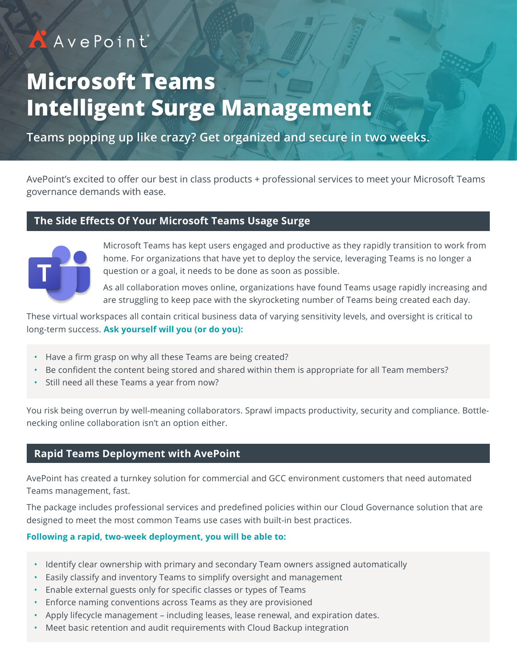# AAvePoint

# **Microsoft Teams Intelligent Surge Management**

**Teams popping up like crazy? Get organized and secure in two weeks.**

AvePoint's excited to offer our best in class products + professional services to meet your Microsoft Teams governance demands with ease.

### **The Side Effects Of Your Microsoft Teams Usage Surge**



Microsoft Teams has kept users engaged and productive as they rapidly transition to work from home. For organizations that have yet to deploy the service, leveraging Teams is no longer a question or a goal, it needs to be done as soon as possible.

As all collaboration moves online, organizations have found Teams usage rapidly increasing and are struggling to keep pace with the skyrocketing number of Teams being created each day.

These virtual workspaces all contain critical business data of varying sensitivity levels, and oversight is critical to long-term success. **Ask yourself will you (or do you):**

- Have a firm grasp on why all these Teams are being created?
- Be confident the content being stored and shared within them is appropriate for all Team members?
- Still need all these Teams a year from now?

You risk being overrun by well-meaning collaborators. Sprawl impacts productivity, security and compliance. Bottlenecking online collaboration isn't an option either.

### **Rapid Teams Deployment with AvePoint**

AvePoint has created a turnkey solution for commercial and GCC environment customers that need automated Teams management, fast.

The package includes professional services and predefined policies within our Cloud Governance solution that are designed to meet the most common Teams use cases with built-in best practices.

#### **Following a rapid, two-week deployment, you will be able to:**

- Identify clear ownership with primary and secondary Team owners assigned automatically
- Easily classify and inventory Teams to simplify oversight and management
- Enable external guests only for specific classes or types of Teams
- Enforce naming conventions across Teams as they are provisioned
- Apply lifecycle management including leases, lease renewal, and expiration dates.
- Meet basic retention and audit requirements with Cloud Backup integration